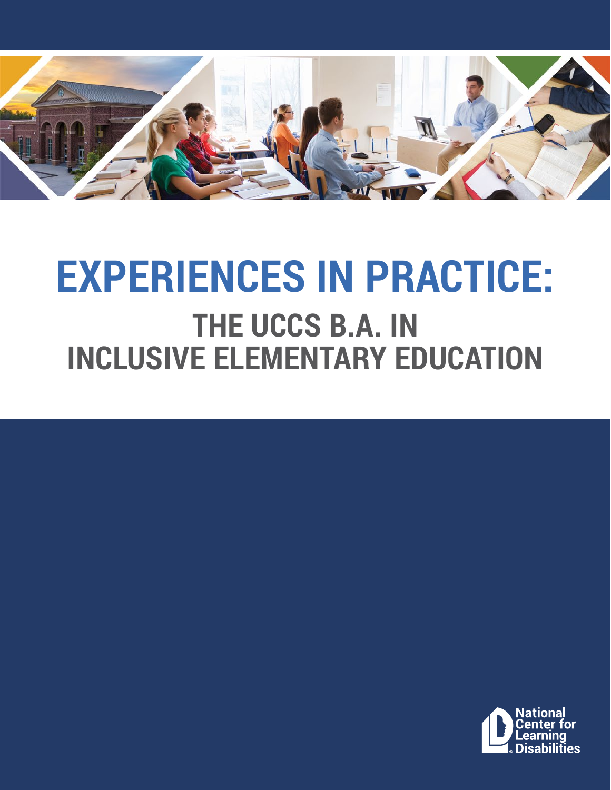

# **EXPERIENCES IN PRACTICE: THE UCCS B.A. IN INCLUSIVE ELEMENTARY EDUCATION**

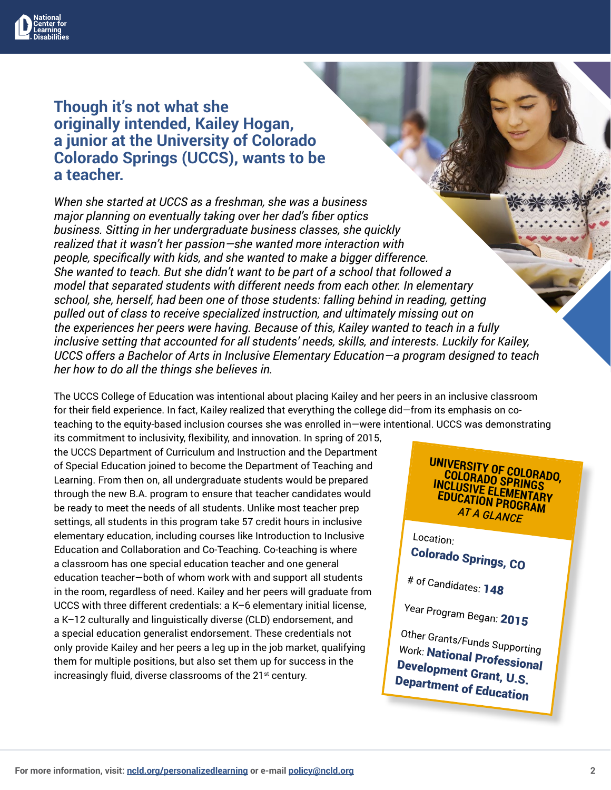

#### **Though it's not what she originally intended, Kailey Hogan, a junior at the University of Colorado Colorado Springs (UCCS), wants to be a teacher.**

*When she started at UCCS as a freshman, she was a business major planning on eventually taking over her dad's fiber optics business. Sitting in her undergraduate business classes, she quickly realized that it wasn't her passion—she wanted more interaction with people, specifically with kids, and she wanted to make a bigger difference. She wanted to teach. But she didn't want to be part of a school that followed a model that separated students with different needs from each other. In elementary school, she, herself, had been one of those students: falling behind in reading, getting pulled out of class to receive specialized instruction, and ultimately missing out on the experiences her peers were having. Because of this, Kailey wanted to teach in a fully inclusive setting that accounted for all students' needs, skills, and interests. Luckily for Kailey, UCCS offers a Bachelor of Arts in Inclusive Elementary Education—a program designed to teach her how to do all the things she believes in.*

The UCCS College of Education was intentional about placing Kailey and her peers in an inclusive classroom for their field experience. In fact, Kailey realized that everything the college did—from its emphasis on coteaching to the equity-based inclusion courses she was enrolled in—were intentional. UCCS was demonstrating

its commitment to inclusivity, flexibility, and innovation. In spring of 2015, the UCCS Department of Curriculum and Instruction and the Department of Special Education joined to become the Department of Teaching and Learning. From then on, all undergraduate students would be prepared through the new B.A. program to ensure that teacher candidates would be ready to meet the needs of all students. Unlike most teacher prep settings, all students in this program take 57 credit hours in inclusive elementary education, including courses like Introduction to Inclusive Education and Collaboration and Co-Teaching. Co-teaching is where a classroom has one special education teacher and one general education teacher—both of whom work with and support all students in the room, regardless of need. Kailey and her peers will graduate from UCCS with three different credentials: a K–6 elementary initial license, a K–12 culturally and linguistically diverse (CLD) endorsement, and a special education generalist endorsement. These credentials not only provide Kailey and her peers a leg up in the job market, qualifying them for multiple positions, but also set them up for success in the increasingly fluid, diverse classrooms of the 21<sup>st</sup> century.

**UNIVERSITY OF COLORADO, COLORADO SPRINGS INCLUSIVE ELEMENTARY EDUCATION PROGRAM** *AT A GLANCE*

Location:

Colorado Springs, CO

# of Candidates: <sup>148</sup>

Year Program Began: <sup>2015</sup>

Other Grants/Funds Supporting Work: National Professional Development Grant, U.S. Department of Education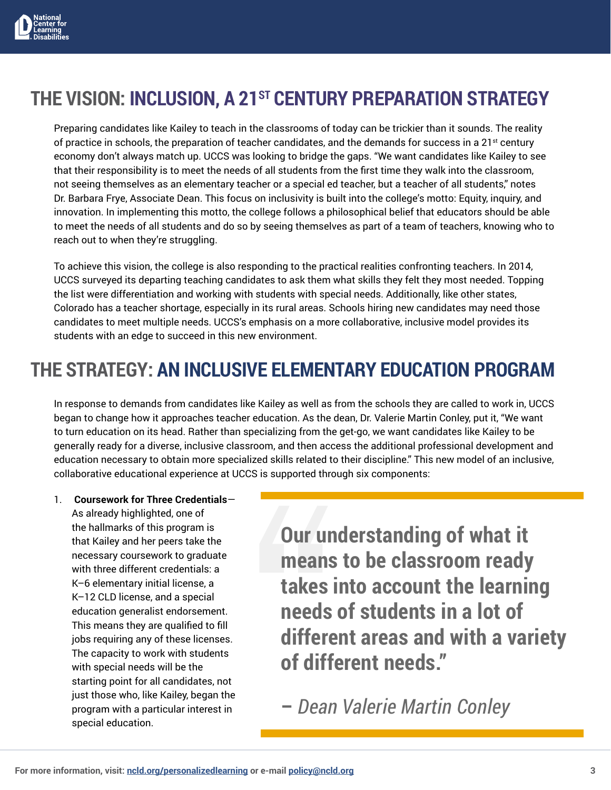

## THE VISION: INCLUSION, A 21<sup>ST</sup> CENTURY PREPARATION STRATEGY

Preparing candidates like Kailey to teach in the classrooms of today can be trickier than it sounds. The reality of practice in schools, the preparation of teacher candidates, and the demands for success in a  $21^{st}$  century economy don't always match up. UCCS was looking to bridge the gaps. "We want candidates like Kailey to see that their responsibility is to meet the needs of all students from the first time they walk into the classroom, not seeing themselves as an elementary teacher or a special ed teacher, but a teacher of all students," notes Dr. Barbara Frye, Associate Dean. This focus on inclusivity is built into the college's motto: Equity, inquiry, and innovation. In implementing this motto, the college follows a philosophical belief that educators should be able to meet the needs of all students and do so by seeing themselves as part of a team of teachers, knowing who to reach out to when they're struggling.

To achieve this vision, the college is also responding to the practical realities confronting teachers. In 2014, UCCS surveyed its departing teaching candidates to ask them what skills they felt they most needed. Topping the list were differentiation and working with students with special needs. Additionally, like other states, Colorado has a teacher shortage, especially in its rural areas. Schools hiring new candidates may need those candidates to meet multiple needs. UCCS's emphasis on a more collaborative, inclusive model provides its students with an edge to succeed in this new environment.

### **THE STRATEGY: AN INCLUSIVE ELEMENTARY EDUCATION PROGRAM**

In response to demands from candidates like Kailey as well as from the schools they are called to work in, UCCS began to change how it approaches teacher education. As the dean, Dr. Valerie Martin Conley, put it, "We want to turn education on its head. Rather than specializing from the get-go, we want candidates like Kailey to be generally ready for a diverse, inclusive classroom, and then access the additional professional development and education necessary to obtain more specialized skills related to their discipline." This new model of an inclusive, collaborative educational experience at UCCS is supported through six components:

1. **Coursework for Three Credentials**— As already highlighted, one of the hallmarks of this program is that Kailey and her peers take the necessary coursework to graduate with three different credentials: a K–6 elementary initial license, a K–12 CLD license, and a special education generalist endorsement. This means they are qualified to fill jobs requiring any of these licenses. The capacity to work with students with special needs will be the starting point for all candidates, not just those who, like Kailey, began the program with a particular interest in special education.

**Our understanding of what it means to be classroom ready takes into account the learning needs of students in a lot of different areas and with a variety of different needs."** 

**–** *Dean Valerie Martin Conley*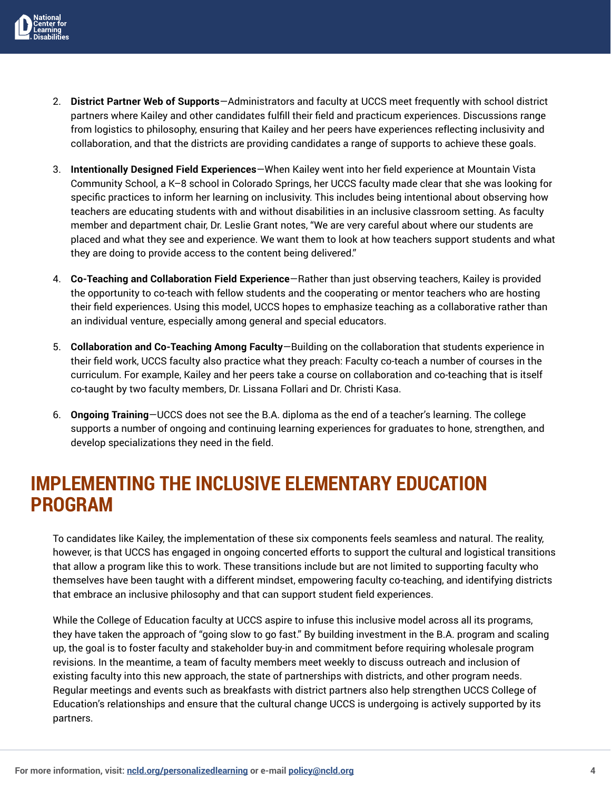

- 2. **District Partner Web of Supports**—Administrators and faculty at UCCS meet frequently with school district partners where Kailey and other candidates fulfill their field and practicum experiences. Discussions range from logistics to philosophy, ensuring that Kailey and her peers have experiences reflecting inclusivity and collaboration, and that the districts are providing candidates a range of supports to achieve these goals.
- 3. **Intentionally Designed Field Experiences**—When Kailey went into her field experience at Mountain Vista Community School, a K–8 school in Colorado Springs, her UCCS faculty made clear that she was looking for specific practices to inform her learning on inclusivity. This includes being intentional about observing how teachers are educating students with and without disabilities in an inclusive classroom setting. As faculty member and department chair, Dr. Leslie Grant notes, "We are very careful about where our students are placed and what they see and experience. We want them to look at how teachers support students and what they are doing to provide access to the content being delivered."
- 4. **Co-Teaching and Collaboration Field Experience**—Rather than just observing teachers, Kailey is provided the opportunity to co-teach with fellow students and the cooperating or mentor teachers who are hosting their field experiences. Using this model, UCCS hopes to emphasize teaching as a collaborative rather than an individual venture, especially among general and special educators.
- 5. **Collaboration and Co-Teaching Among Faculty**—Building on the collaboration that students experience in their field work, UCCS faculty also practice what they preach: Faculty co-teach a number of courses in the curriculum. For example, Kailey and her peers take a course on collaboration and co-teaching that is itself co-taught by two faculty members, Dr. Lissana Follari and Dr. Christi Kasa.
- 6. **Ongoing Training**—UCCS does not see the B.A. diploma as the end of a teacher's learning. The college supports a number of ongoing and continuing learning experiences for graduates to hone, strengthen, and develop specializations they need in the field.

#### **IMPLEMENTING THE INCLUSIVE ELEMENTARY EDUCATION PROGRAM**

To candidates like Kailey, the implementation of these six components feels seamless and natural. The reality, however, is that UCCS has engaged in ongoing concerted efforts to support the cultural and logistical transitions that allow a program like this to work. These transitions include but are not limited to supporting faculty who themselves have been taught with a different mindset, empowering faculty co-teaching, and identifying districts that embrace an inclusive philosophy and that can support student field experiences.

While the College of Education faculty at UCCS aspire to infuse this inclusive model across all its programs, they have taken the approach of "going slow to go fast." By building investment in the B.A. program and scaling up, the goal is to foster faculty and stakeholder buy-in and commitment before requiring wholesale program revisions. In the meantime, a team of faculty members meet weekly to discuss outreach and inclusion of existing faculty into this new approach, the state of partnerships with districts, and other program needs. Regular meetings and events such as breakfasts with district partners also help strengthen UCCS College of Education's relationships and ensure that the cultural change UCCS is undergoing is actively supported by its partners.